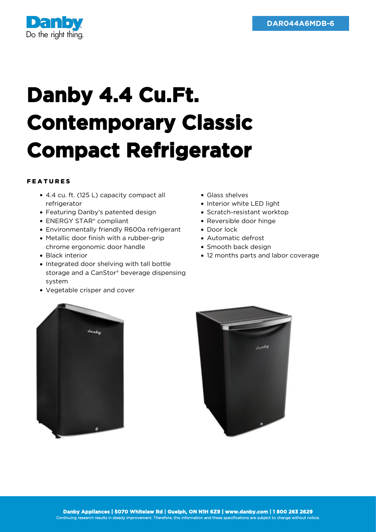

## **Danby 4.4 Cu.Ft. Contemporary Classic Compact Refrigerator**

## FEATURES

- 4.4 cu. ft. (125 L) capacity compact all refrigerator
- Featuring Danby's patented design
- ENERGY STAR<sup>®</sup> compliant
- Environmentally friendly R600a refrigerant
- Metallic door finish with a rubber-grip chrome ergonomic door handle
- Black interior
- Integrated door shelving with tall bottle storage and a CanStor® beverage dispensing system
- Vegetable crisper and cover
- Glass shelves
- Interior white LED light
- Scratch-resistant worktop
- Reversible door hinge
- Door lock
- Automatic defrost
- Smooth back design
- 12 months parts and labor coverage